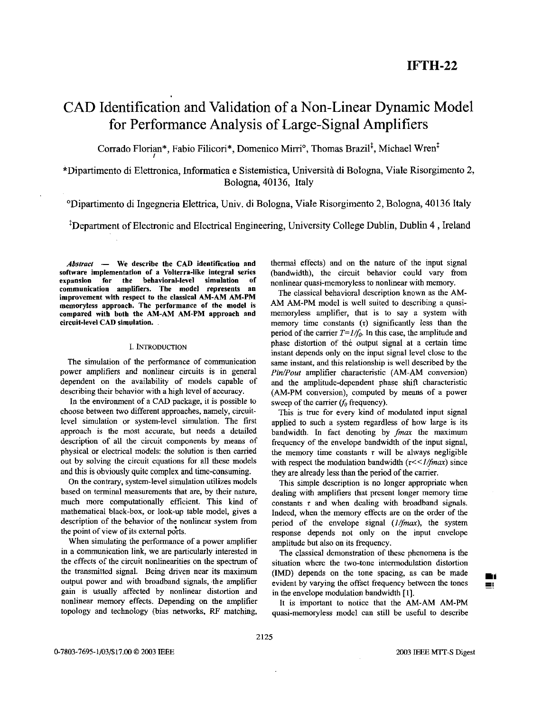# CAD Identification and Validation of a Non-Linear Dynamic Model for Performance Analysis of Large-Signal Amplifiers

Corrado Florian\*, Fabio Filicori\*, Domenico Mirri°, Thomas Brazil<sup>‡</sup>, Michael Wren<sup>t</sup>

\*Dipartimento di Elettronica, Informatica e Sistemistica, Universita di Bologna, Viale Risorgimento 2, Bologna, 40136, Italy

'Dipartimento di Ingegneria Elettrica, Univ. di Bologna, Viale Risorgimento 2, Bologna, 40136 Italy

<sup>‡</sup>Department of Electronic and Electrical Engineering, University College Dublin, Dublin 4, Ireland

Abstract - We describe the CAD identification and software implementation **of** a Volterra-like integral series expansion for the behavioral-level simulation of<br>communication amplifiers. The model represents an improvement with respect to the classical AM-AM AM-PM memoryless approach. The performance **of** the model is compared with both the **AM-AM AM-PM** approach and circuit-level **CAD** simulation.

## 1. **INTRODUCTION**

The simulation of the performance of communication power amplifiers and nonlinear circuits is in general dependent on the availability of models capable of describing their behavior with a high level of accuracy.

In the environment of a CAD package, it is possible to choose between two different approaches, namely, circuitlevel simulation or system-level simulation. The first approach is the most accurate, hut needs a detailed description of all the circuit components by means of physical or electrical models: the solution is then carried out by solving the circuit equations for all these models and this is obviously quite complex and time-consuming.

On the contrary, system-level simulation utilizes models based on terminal measurements that are, by their nature, much more computationally efficient. This kind of mathematical black-box, or look-up table model, gives a description of the behavior of the nonlinear system from the point of view of its external ports.

When simulating the performance of a power amplifier in a communication link, we are particularly interested in the effects of the circuit nonlinearities on the spectrum of the transmitted signal. Being driven near its maximum output power and with broadband signals, the amplifier gain is usually affected by nonlinear distortion and nonlinear memory effects. Depending on the amplifier topology and technology (bias networks, RF matching,

thermal effects) and on the nature of the input signal (bandwidth), the circuit behavior could vary from nonlinear quasi-memoryless to nonlinear with memory.

The classical behavioral description known as the AM-AM AM-PM model is well suited to describing a quasimemoryless amplifier, that is to say a system with memory time constants  $(\tau)$  significantly less than the period of the carrier  $T=1/f_0$ . In this case, the amplitude and phase distortion of the output signal at a certain time instant depends only on the input signal level close to the same instant, and this relationship is well described by the *Pin/Pout* amplifier characteristic (AM-AM conversion) and the amplitude-dependent phase shift characteristic (AM-PM conversion), computed by means of a power sweep of the carrier ( $f_0$  frequency).

This is true for every kind of modulated input signal applied to such a system regardless of bow large is its bandwidth. In fact denoting by *fmax* the maximum frequency of the envelope bandwidth of the input signal, the memory time constants  $\tau$  will be always negligible with respect the modulation bandwidth  $(\tau \ll 1/\text{fmax})$  since they are already less than the period of the carrier.

This simple description is no longer appropriate when dealing with amplifiers that present longer memory time constants  $\tau$  and when dealing with broadband signals. Indeed, when the memory effects are on **the** order of the period of the envelope signal *(1/fmax)*, the system response depends not only on the input envelope amplitude but also on its frequency.

The classical demonstration of these phenomena is the situation where the two-tone intermodulation distortion (IMD) depends on the tone spacing, as can he made evident by varying the offset frequency between the tones in the envelope modulation bandwidth **[l].** 

It is important to notice that the *AM-AM* AM-PM quasi-memoryless model can still be useful to describe  $\blacksquare$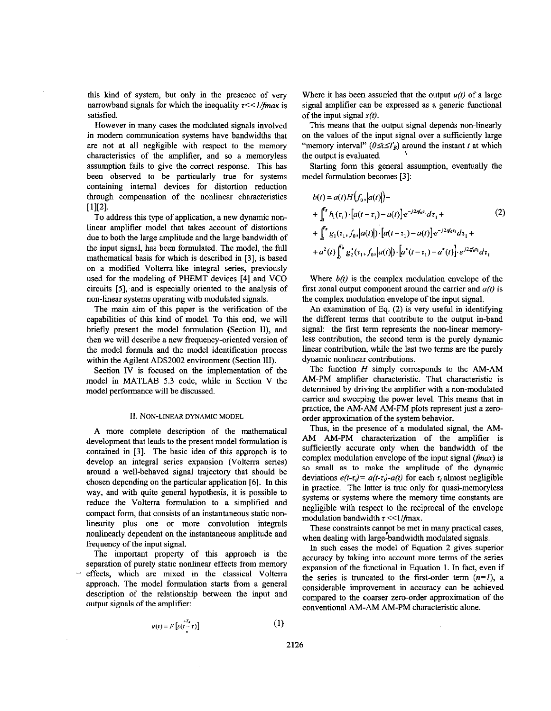this kind of system, but only in the presence of very narrowband signals for which the inequality  $\tau \ll 1/\text{fmax}$  is satisfied.

However in many cases the modulated signals involved in modem communication systems have bandwidths that are not at all negligible with respect to the memory characteristics of the amplifier, and so a memoryless assumption fails to give the correct response. This has been observed to be particularly true for systems containing internal devices for distortion reduction through compensation of the nonlinear characteristics *[11[21.* 

To address this type of application, a new dynamic nonlinear amplifier model that takes account of distortions due to both the large amplitude and the large bandwidth of the input signal, has been formulated. The model, the full mathematical basis for which is described in *[3],* is based on a modified Volterra-like integral series, previously used for the modeling of PHEMT devices **[4]** and VCO circuits *[5],* and is especially oriented to the analysis of non-linear systems operating with modulated signals.

The main aim of this paper is the verification of the capabilities of this kind of model. To this end, we will briefly present the model formulation (Section **U),** and then we will describe a new frequency-oriented version of the model formula and the model identification process within the Agilent *ADS2002* environment (Section **111).** 

Section 1V is focused on the implementation of the model in MATLAB **5.3** code, while in Section V the model performance will he discussed.

#### **11. NON-LINEAR DYNAMIC MODEL**

A more complete description of the mathematical development that leads to the present model formulation is contained in *[3].* The basic idea of this approach is to develop an integral series expansion (Volterra series) around a well-behaved signal trajectory that should be chosen depending on the particular application *[6].* In this way, and with quite general hypothesis, it is possible to reduce the Volterra formulation to a simplified and compact form, that consists of **an** instantaneous static nonlinearity plus one or more convolution integrals nonlinearly dependent on the instantaneous amplitude and frequency of the input signal.

The important property of this approach is the separation of purely static nonlinear effects from memory effects, which are mixed in the classical Volterra approach. The model formulation starts from a general description of the relationship between the input and output signals of the amplifier:

$$
u(t) = F\left[s(t-\tau)\right] \tag{1}
$$

Where it has been assumed that the output  $u(t)$  of a large signal amplifier can be expressed as a generic functional of the input signal  $s(t)$ .

This means that the output signal depends non-linearly on the values of the input signal over a sufficiently large "memory interval"  $(0 \le t \le T_B)$  around the instant *t* at which the output is evaluated.

Starting form this general assumption, eventually the model formulation becomes *[3]:* 

$$
b(t) = a(t)H(f_0, |a(t)|)+
$$
  
+  $\int_0^{r_s} h_1(\tau_1) \cdot [a(t-\tau_1) - a(t)] e^{-j2\pi f_0 \tau_1} d\tau_1 +$   
+  $\int_0^{r_s} g_1(\tau_1, f_0, |a(t)|) \cdot [a(t-\tau_1) - a(t)] e^{-j2\pi f_0 \tau_1} d\tau_1 +$   
+  $a^2(t) \int_0^{r_s} g_2^*(\tau_1, f_0, |a(t)|) \cdot [a^*(t-\tau_1) - a^*(t)] \cdot e^{j2\pi f_0 \tau_1} d\tau_1$  (2)

Where  $b(t)$  is the complex modulation envelope of the first zonal output component around the carrier and *a(t)* is the complex modulation envelope of the input signal.

An examination of Eq. *(2)* is very useful in identifying the different terms that contribute to the output in-band signal: the first term represents the non-linear memoryless contribution, the second term is the purely dynamic linear contribution, while the last two terms are the purely dynamic nonlinear contributions.

The function  $H$  simply corresponds to the AM-AM AM-PM amplifier characteristic. That characteristic is determined by driving the amplifier with a non-modulated carrier and sweeping the power level. This means that in practice, the AM-AM AM-FM plots represent just a zeroorder approximation of the system behavior.

Thus, in the presence of a modulated signal, the *AM-*AM AM-PM characterization of the amplifier is sufficiently accurate only when the bandwidth of the complex modulation envelope of the input signal **(fmax)** is *so* small as to make the amplitude of the dynamic deviations  $e(t-\tau_j)=a(t-\tau_j)-a(t)$  for each  $\tau_i$  almost negligible in practice. The latter is true only for quasi-memoryless systems or systems where the memory time constants are negligible with respect to the reciprocal of the envelope modulation bandwidth  $\tau \ll 1/\text{fmax}$ .

These constraints cannot be met in many practical cases, when dealing with large-bandwidth modulated signals.

In such cases the model of Equation *2* gives superior accuracy by taking into account more terms of the series expansion of the functional in Equation **1.** In fact, even if the series is truncated to the first-order term  $(n=1)$ , a considerable improvement in accuracy can be achieved compared to the coarser zero-order approximation of the conventional AM-AM AM-PM characteristic alone.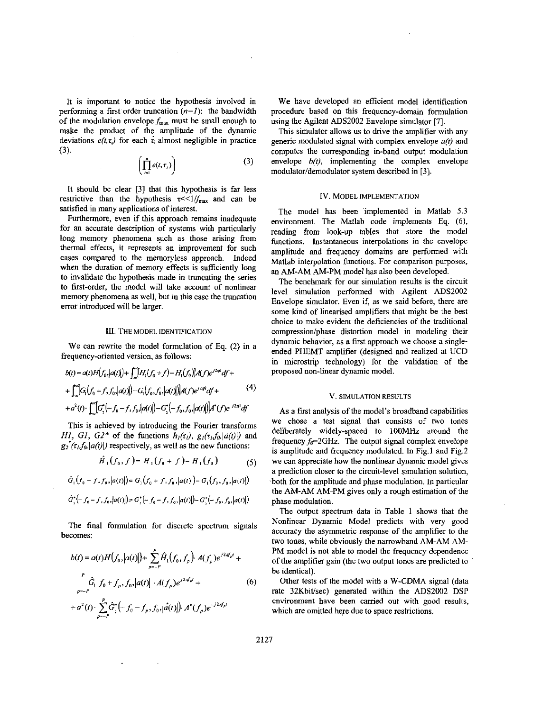It is important to notice the hypothesis involved in performing a first order truncation  $(n=1)$ : the bandwidth of the modulation envelope  $f_{\text{max}}$  must be small enough to make the product of the amplitude of the dynamic deviations  $e(t, \tau)$  for each  $\tau$ , almost negligible in practice (3).

$$
\left(\prod_{i=1}^n e(t,\tau_i)\right) \tag{3}
$$

It should be clear [3] that this hypothesis is far **less**  restrictive than the hypothesis  $\tau \ll 1/f_{\text{max}}$  and can be satisfied in many applications of interest.

 $\bar{z}$ 

 $\mathcal{L}^{\mathcal{L}}$ 

Furthermore, even if this approach remains inadequate for an accurate description of systems with particularly long memory phenomena such as those arising from thermal effects, it represents an improvement for such cases compared to the memoryless approach. Indeed when the duration of memory effects is sufficiently long **to** invalidate the hypothesis made in truncating the series to first-order, the model will take account of nonlinear memory phenomena as well, but in this case the truncation error introduced will he larger.

#### III. THE MODEL IDENTIFICATION

We can rewrite the model formulation of Eq. (2) in a frequency-oriented version, as follows:

$$
b(t) = \alpha(t)H(f_0, |\alpha(t)|) + \int_{-\infty}^{\infty} [H_1(f_0 + f) - H_1(f_0)]A(f)e^{j2\pi t}df +
$$
  
+ 
$$
\int_{-\infty}^{\infty} [G_1(f_0 + f, f_0, |\alpha(t)|) - G_1(f_0, f_0, |\alpha(t)|)]A(f)e^{j2\pi t}df +
$$
  
+ 
$$
\alpha^2(t) \cdot \int_{-\infty}^{\infty} [G_1^{\epsilon}(-f_0 - f, f_0, |\alpha(t)|) - G_1^{\epsilon}(-f_0, f_0, |\alpha(t)|)]A^{\epsilon}(f)e^{-j2\pi t}df
$$
 (4)

This is achieved by introducing the Fourier transforms HI, GI, G2\* of the functions  $h_1(\tau_1)$ ,  $g_1(\tau_1, f_0|a(t))$  and  $g_2(\tau_h f_0 | a(t)|)$  respectively, as well as the new functions:

$$
\hat{H}_1(f_0, f) = H_1(f_0 + f) - H_1(f_0) \tag{5}
$$

$$
\hat{G}_1(f_0+f,f_0,[a(t)])=G_1(f_0+f,f_0,[a(t)])-G_1(f_0,f_0,[a(t)])
$$

$$
\hat{G}_2^{\bullet}(-f_0-f, f_0, |a(t)|) = G_2^{\bullet}(-f_0-f, f_0, |a(t)|) - G_2^{\bullet}(-f_0, f_0, |a(t)|)
$$

The final formulation for discrete spectrum signals becomes:

$$
b(t) = a(t)H(f_0, |a(t)|) + \sum_{p=-P}^{P} \hat{H}_1(f_0, f_p) \cdot A(f_p) e^{j2\pi f_p t} +
$$
  
\n
$$
\hat{G}_1 f_0 + f_p, f_0, |a(t)| \cdot A(f_p) e^{j2\pi f_p t} +
$$
  
\n
$$
+ a^2(t) \cdot \sum_{p=-P}^{P} \hat{G}_2^*(-f_0 - f_p, f_0, |\hat{a}(t)|) \cdot A^*(f_p) e^{-j2\pi f_p t}
$$
  
\n(6)

We have developed an efficient model identification procedure based on this frequency-domain formulation using the Agilent ADS2002 Envelope simulator [7].

This simulator allows **us** to drive the amplifier with any generic modulated signal with complex envelope  $a(t)$  and computes the corresponding in-band output modulation envelope  $b(t)$ , implementing the complex envelope modulator/demodulator system described in [3].

#### IV. MODEL IMPLEMENTATION

The model has been implemented in Matlab 5.3 environment. The Matlab code implements Eq. *(6),*  reading from look-up tables that store the model functions. Instantaneous interpolations in the envelope amplitude and frequency domains are performed with Matlab interpolation functions. For comparison purposes, an AM-AM AM-PM model has also been developed.

The benchmark for our simulation results is the circuit level simulation performed with Agilent ADS2002 Envelope simulator. Even if, as we said before, there are some kind of linearised amplifiers that might be the best choice to make evident the deficiencies of the traditional compression/phase distortion model in modeling their dynamic behavior, as a first approach we choose a singleended PHEMT amplifier (designed and realized at UCD in microstrip technology) for the validation of the proposed non-linear dynamic model.

### V. SIMULATION RESULTS

As a first analysis of the model's broadband capabilities we chose a test signal that consists of two tones deliberately widely-spaced to IOOMHz around the frequency  $f_0 = 2 \text{GHz}$ . The output signal complex envelope is amplitude and frequency modulated. In Fig.1 and Fig.2 we can appreciate how the nonlinear dynamic model gives a prediction closer to the circuit-level simulation solution, -both for the amplitude and phase modulation. In particular the AM-AM AM-PM gives only a rough estimation of the phase modulation.

The output spectrum data in [Table](#page-3-0) **1** shows that the Nonlinear Dynamic Model predicts with very good accuracy the asymmetric response of the amplifier to the two tones, while obviously the narrowband AM-AM AM-PM model is not able to model the frequency dependence of the amplifier gain (the two output tones are predicted to he identical).

Other tests of the model with a W-CDMA signal (data rate 32Kbit/sec) generated within the ADS2002 DSP environment have been carried out with good results, which are omitted here due to space restrictions.